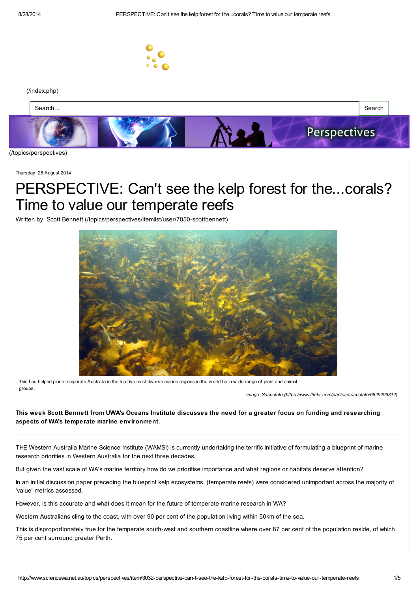

#### [\(/index.php\)](http://www.sciencewa.net.au/index.php)



[\(/topics/perspectives\)](http://www.sciencewa.net.au/topics/perspectives)

Thursday, 28 August 2014

## PERSPECTIVE: Can't see the kelp forest for the...corals? Time to value our temperate reefs

Written by Scott Bennett [\(/topics/perspectives/itemlist/user/7050-scottbennett\)](http://www.sciencewa.net.au/topics/perspectives/itemlist/user/7050-scottbennett)



This has helped place temperate Australia in the top five most diverse marine regions in the w orld for a w ide range of plant and animal groups.

Image: Saspotato [\(https://www.flickr.com/photos/saspotato/6829299312\)](https://www.flickr.com/photos/saspotato/6829299312)

This week Scott Bennett from UWA's Oceans Institute discusses the need for a greater focus on funding and researching aspects of WA's temperate marine environment.

THE Western Australia Marine Science Institute (WAMSI) is currently undertaking the terrific initiative of formulating a blueprint of marine research priorities in Western Australia for the next three decades.

But given the vast scale of WA's marine territory how do we prioritise importance and what regions or habitats deserve attention?

In an initial discussion paper preceding the blueprint kelp ecosystems, (temperate reefs) were considered unimportant across the majority of 'value' metrics assessed.

However, is this accurate and what does it mean for the future of temperate marine research in WA?

Western Australians cling to the coast, with over 90 per cent of the population living within 50km of the sea.

This is disproportionately true for the temperate south-west and southern coastline where over 87 per cent of the population reside, of which 75 per cent surround greater Perth.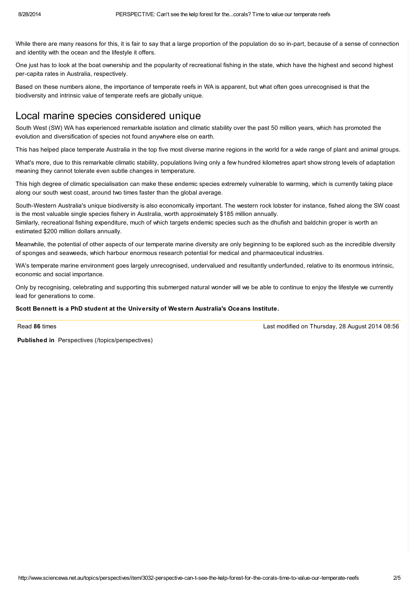While there are many reasons for this, it is fair to say that a large proportion of the population do so in-part, because of a sense of connection and identity with the ocean and the lifestyle it offers.

One just has to look at the boat ownership and the popularity of recreational fishing in the state, which have the highest and second highest per-capita rates in Australia, respectively.

Based on these numbers alone, the importance of temperate reefs in WA is apparent, but what often goes unrecognised is that the biodiversity and intrinsic value of temperate reefs are globally unique.

## Local marine species considered unique

South West (SW) WA has experienced remarkable isolation and climatic stability over the past 50 million years, which has promoted the evolution and diversification of species not found anywhere else on earth.

This has helped place temperate Australia in the top five most diverse marine regions in the world for a wide range of plant and animal groups.

What's more, due to this remarkable climatic stability, populations living only a few hundred kilometres apart show strong levels of adaptation meaning they cannot tolerate even subtle changes in temperature.

This high degree of climatic specialisation can make these endemic species extremely vulnerable to warming, which is currently taking place along our south west coast, around two times faster than the global average.

South-Western Australia's unique biodiversity is also economically important. The western rock lobster for instance, fished along the SW coast is the most valuable single species fishery in Australia, worth approximately \$185 million annually. Similarly, recreational fishing expenditure, much of which targets endemic species such as the dhufish and baldchin groper is worth an estimated \$200 million dollars annually.

Meanwhile, the potential of other aspects of our temperate marine diversity are only beginning to be explored such as the incredible diversity of sponges and seaweeds, which harbour enormous research potential for medical and pharmaceutical industries.

WA's temperate marine environment goes largely unrecognised, undervalued and resultantly underfunded, relative to its enormous intrinsic, economic and social importance.

Only by recognising, celebrating and supporting this submerged natural wonder will we be able to continue to enjoy the lifestyle we currently lead for generations to come.

#### Scott Bennett is a PhD student at the University of Western Australia's Oceans Institute.

Read 86 times

Last modified on Thursday, 28 August 2014 08:56

Published in Perspectives [\(/topics/perspectives\)](http://www.sciencewa.net.au/topics/perspectives)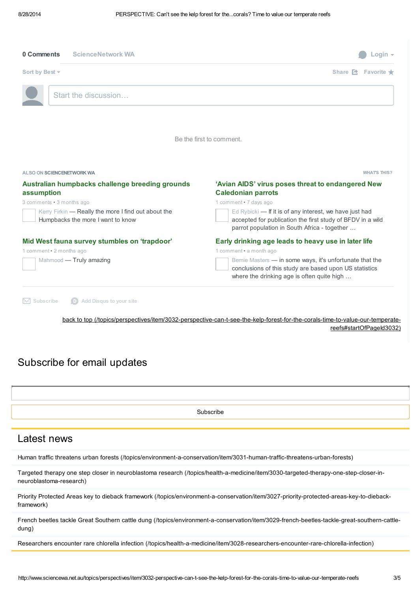| <b>ScienceNetwork WA</b><br>0 Comments                                                   | - oain.                                                                                                                                                               |
|------------------------------------------------------------------------------------------|-----------------------------------------------------------------------------------------------------------------------------------------------------------------------|
| Sort by Best ~                                                                           | Share $\triangle$ Favorite $\star$                                                                                                                                    |
| Start the discussion                                                                     |                                                                                                                                                                       |
|                                                                                          | Be the first to comment.                                                                                                                                              |
|                                                                                          |                                                                                                                                                                       |
| ALSO ON SCIENCENETWORK WA                                                                | <b>WHATS THIS?</b>                                                                                                                                                    |
| Australian humpbacks challenge breeding grounds<br>assumption                            | 'Avian AIDS' virus poses threat to endangered New                                                                                                                     |
|                                                                                          | <b>Caledonian parrots</b>                                                                                                                                             |
| 3 comments • 3 months ago                                                                | 1 comment . 7 days ago                                                                                                                                                |
| Kerry Firkin - Really the more I find out about the<br>Humpbacks the more I want to know | Ed Rybicki - If it is of any interest, we have just had<br>accepted for publication the first study of BFDV in a wild<br>parrot population in South Africa - together |
| Mid West fauna survey stumbles on 'trapdoor'<br>1 comment . 2 months ago                 | Early drinking age leads to heavy use in later life<br>1 comment • a month ago                                                                                        |

back to top (/topics/perspectives/item/3032-perspective-can-t-see-the-kelp-forest-for-the-corals-time-to-value-our-temperatereefs#startOfPageId3032)

## Subscribe for email updates

Subscribe

#### Latest news

Human traffic threatens urban forests [\(/topics/environment-a-conservation/item/3031-human-traffic-threatens-urban-forests\)](http://www.sciencewa.net.au/topics/environment-a-conservation/item/3031-human-traffic-threatens-urban-forests)

Targeted therapy one step closer in neuroblastoma research [\(/topics/health-a-medicine/item/3030-targeted-therapy-one-step-closer-in](http://www.sciencewa.net.au/topics/health-a-medicine/item/3030-targeted-therapy-one-step-closer-in-neuroblastoma-research)neuroblastoma-research)

Priority Protected Areas key to dieback framework [\(/topics/environment-a-conservation/item/3027-priority-protected-areas-key-to-dieback](http://www.sciencewa.net.au/topics/environment-a-conservation/item/3027-priority-protected-areas-key-to-dieback-framework)framework)

French beetles tackle Great Southern cattle dung [\(/topics/environment-a-conservation/item/3029-french-beetles-tackle-great-southern-cattle](http://www.sciencewa.net.au/topics/environment-a-conservation/item/3029-french-beetles-tackle-great-southern-cattle-dung)dung)

Researchers encounter rare chlorella infection [\(/topics/health-a-medicine/item/3028-researchers-encounter-rare-chlorella-infection\)](http://www.sciencewa.net.au/topics/health-a-medicine/item/3028-researchers-encounter-rare-chlorella-infection)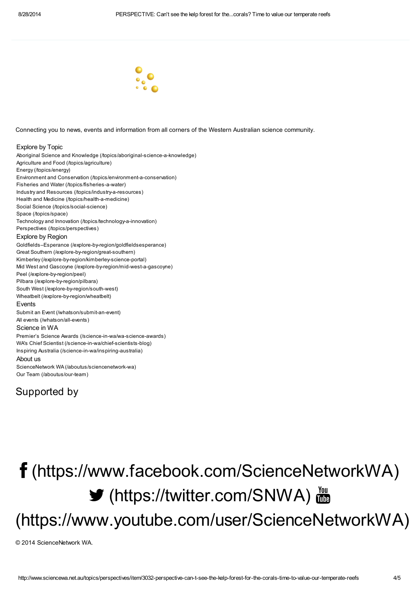

Connecting you to news, events and information from all corners of the Western Australian science community.

#### Explore by Topic

Aboriginal Science and Knowledge [\(/topics/aboriginal-science-a-knowledge\)](http://www.sciencewa.net.au/topics/aboriginal-science-a-knowledge) Agriculture and Food [\(/topics/agriculture\)](http://www.sciencewa.net.au/topics/agriculture) Energy [\(/topics/energy\)](http://www.sciencewa.net.au/topics/energy) Environment and Conservation [\(/topics/environment-a-conservation\)](http://www.sciencewa.net.au/topics/environment-a-conservation) Fisheries and Water [\(/topics/fisheries-a-water\)](http://www.sciencewa.net.au/topics/fisheries-a-water) Industry and Resources [\(/topics/industry-a-resources\)](http://www.sciencewa.net.au/topics/industry-a-resources) Health and Medicine [\(/topics/health-a-medicine\)](http://www.sciencewa.net.au/topics/health-a-medicine) Social Science [\(/topics/social-science\)](http://www.sciencewa.net.au/topics/social-science) Space [\(/topics/space\)](http://www.sciencewa.net.au/topics/space) Technology and Innovation [\(/topics/technology-a-innovation\)](http://www.sciencewa.net.au/topics/technology-a-innovation) Perspectives [\(/topics/perspectives\)](http://www.sciencewa.net.au/topics/perspectives) Explore by Region Goldfields–Esperance [\(/explore-by-region/goldfieldsesperance\)](http://www.sciencewa.net.au/explore-by-region/goldfieldsesperance) Great Southern [\(/explore-by-region/great-southern\)](http://www.sciencewa.net.au/explore-by-region/great-southern) Kimberley [\(/explore-by-region/kimberley-science-portal\)](http://www.sciencewa.net.au/explore-by-region/kimberley-science-portal) Mid West and Gascoyne [\(/explore-by-region/mid-west-a-gascoyne\)](http://www.sciencewa.net.au/explore-by-region/mid-west-a-gascoyne) Peel [\(/explore-by-region/peel\)](http://www.sciencewa.net.au/explore-by-region/peel) Pilbara [\(/explore-by-region/pilbara\)](http://www.sciencewa.net.au/explore-by-region/pilbara) South West [\(/explore-by-region/south-west\)](http://www.sciencewa.net.au/explore-by-region/south-west) Wheatbelt [\(/explore-by-region/wheatbelt\)](http://www.sciencewa.net.au/explore-by-region/wheatbelt) Events Submit an Event [\(/whatson/submit-an-event\)](http://www.sciencewa.net.au/whatson/submit-an-event) All events [\(/whatson/all-events\)](http://www.sciencewa.net.au/whatson/all-events) Science in WA Premier's Science Awards [\(/science-in-wa/wa-science-awards\)](http://www.sciencewa.net.au/science-in-wa/wa-science-awards) WA's Chief Scientist [\(/science-in-wa/chief-scientists-blog\)](http://www.sciencewa.net.au/science-in-wa/chief-scientists-blog) Inspiring Australia [\(/science-in-wa/inspiring-australia\)](http://www.sciencewa.net.au/science-in-wa/inspiring-australia) About us ScienceNetwork WA [\(/aboutus/sciencenetwork-wa\)](http://www.sciencewa.net.au/aboutus/sciencenetwork-wa) Our Team [\(/aboutus/our-team\)](http://www.sciencewa.net.au/aboutus/our-team)

### Supported by

# [\(https://www.facebook.com/ScienceNetworkWA\)](https://www.facebook.com/ScienceNetworkWA) **▼** [\(https://twitter.com/SNWA\)](https://twitter.com/SNWA) 圖 [\(https://www.youtube.com/user/ScienceNetworkWA\)](https://www.youtube.com/user/ScienceNetworkWA)

© 2014 ScienceNetwork WA.